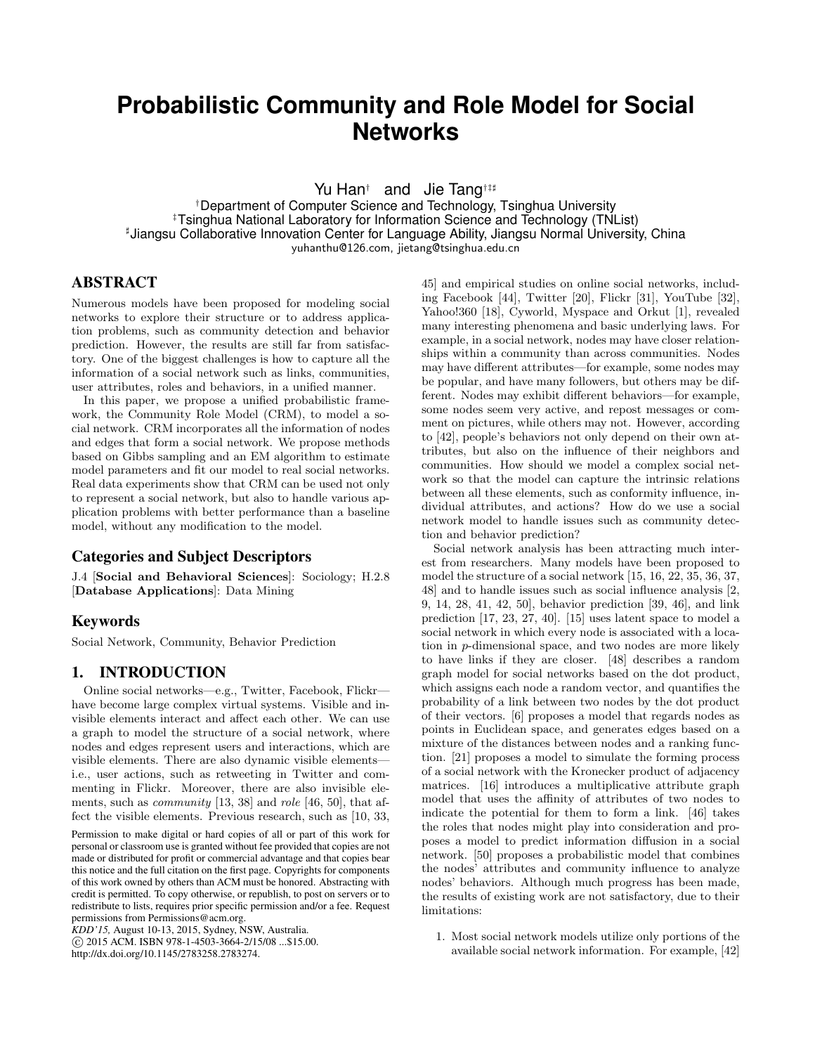# **Probabilistic Community and Role Model for Social Networks**

Yu Han<sup>†</sup> and Jie Tang<sup>†‡‡</sup>

†Department of Computer Science and Technology, Tsinghua University ‡Tsinghua National Laboratory for Information Science and Technology (TNList) ] Jiangsu Collaborative Innovation Center for Language Ability, Jiangsu Normal University, China yuhanthu@126.com, jietang@tsinghua.edu.cn

## ABSTRACT

Numerous models have been proposed for modeling social networks to explore their structure or to address application problems, such as community detection and behavior prediction. However, the results are still far from satisfactory. One of the biggest challenges is how to capture all the information of a social network such as links, communities, user attributes, roles and behaviors, in a unified manner.

In this paper, we propose a unified probabilistic framework, the Community Role Model (CRM), to model a social network. CRM incorporates all the information of nodes and edges that form a social network. We propose methods based on Gibbs sampling and an EM algorithm to estimate model parameters and fit our model to real social networks. Real data experiments show that CRM can be used not only to represent a social network, but also to handle various application problems with better performance than a baseline model, without any modification to the model.

#### Categories and Subject Descriptors

J.4 [Social and Behavioral Sciences]: Sociology; H.2.8 [Database Applications]: Data Mining

# Keywords

Social Network, Community, Behavior Prediction

# 1. INTRODUCTION

Online social networks—e.g., Twitter, Facebook, Flickr have become large complex virtual systems. Visible and invisible elements interact and affect each other. We can use a graph to model the structure of a social network, where nodes and edges represent users and interactions, which are visible elements. There are also dynamic visible elements i.e., user actions, such as retweeting in Twitter and commenting in Flickr. Moreover, there are also invisible elements, such as *community* [13, 38] and *role* [46, 50], that affect the visible elements. Previous research, such as [10, 33,

*KDD'15,* August 10-13, 2015, Sydney, NSW, Australia. c 2015 ACM. ISBN 978-1-4503-3664-2/15/08 ...\$15.00. http://dx.doi.org/10.1145/2783258.2783274.

45] and empirical studies on online social networks, including Facebook [44], Twitter [20], Flickr [31], YouTube [32], Yahoo!360 [18], Cyworld, Myspace and Orkut [1], revealed many interesting phenomena and basic underlying laws. For example, in a social network, nodes may have closer relationships within a community than across communities. Nodes may have different attributes—for example, some nodes may be popular, and have many followers, but others may be different. Nodes may exhibit different behaviors—for example, some nodes seem very active, and repost messages or comment on pictures, while others may not. However, according to [42], people's behaviors not only depend on their own attributes, but also on the influence of their neighbors and communities. How should we model a complex social network so that the model can capture the intrinsic relations between all these elements, such as conformity influence, individual attributes, and actions? How do we use a social network model to handle issues such as community detection and behavior prediction?

Social network analysis has been attracting much interest from researchers. Many models have been proposed to model the structure of a social network [15, 16, 22, 35, 36, 37, 48] and to handle issues such as social influence analysis [2, 9, 14, 28, 41, 42, 50], behavior prediction [39, 46], and link prediction [17, 23, 27, 40]. [15] uses latent space to model a social network in which every node is associated with a location in p-dimensional space, and two nodes are more likely to have links if they are closer. [48] describes a random graph model for social networks based on the dot product, which assigns each node a random vector, and quantifies the probability of a link between two nodes by the dot product of their vectors. [6] proposes a model that regards nodes as points in Euclidean space, and generates edges based on a mixture of the distances between nodes and a ranking function. [21] proposes a model to simulate the forming process of a social network with the Kronecker product of adjacency matrices. [16] introduces a multiplicative attribute graph model that uses the affinity of attributes of two nodes to indicate the potential for them to form a link. [46] takes the roles that nodes might play into consideration and proposes a model to predict information diffusion in a social network. [50] proposes a probabilistic model that combines the nodes' attributes and community influence to analyze nodes' behaviors. Although much progress has been made, the results of existing work are not satisfactory, due to their limitations:

1. Most social network models utilize only portions of the available social network information. For example, [42]

Permission to make digital or hard copies of all or part of this work for personal or classroom use is granted without fee provided that copies are not made or distributed for profit or commercial advantage and that copies bear this notice and the full citation on the first page. Copyrights for components of this work owned by others than ACM must be honored. Abstracting with credit is permitted. To copy otherwise, or republish, to post on servers or to redistribute to lists, requires prior specific permission and/or a fee. Request permissions from Permissions@acm.org.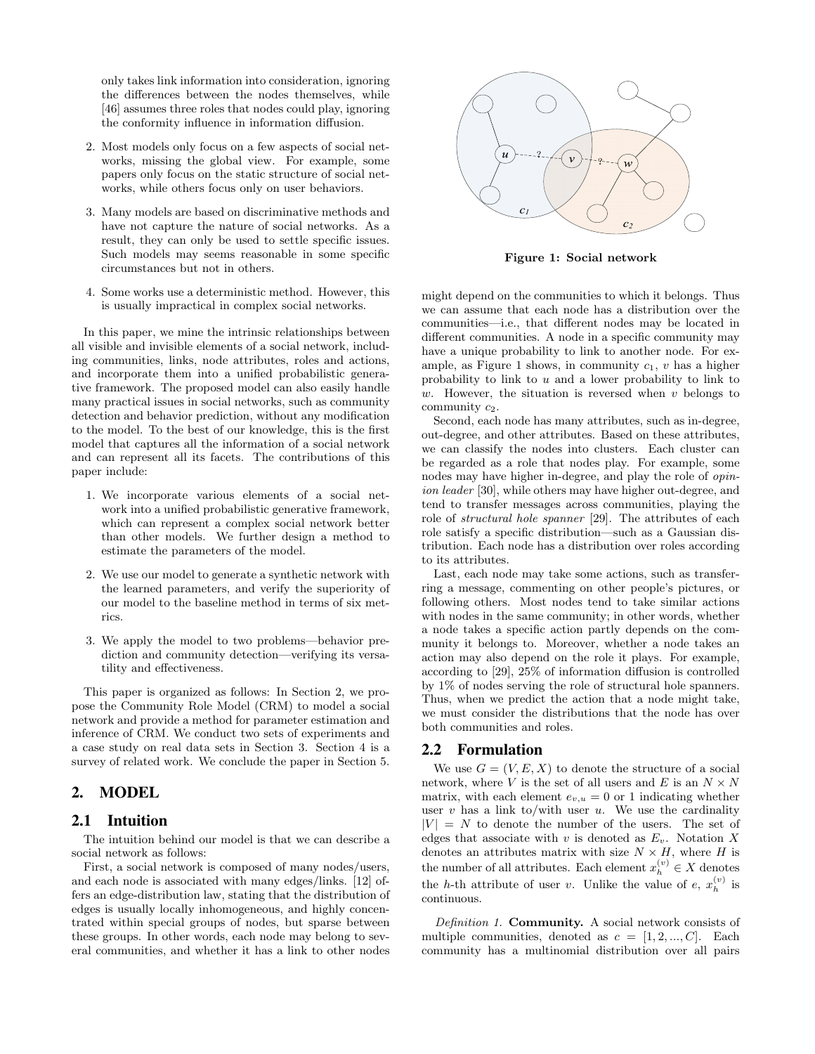only takes link information into consideration, ignoring the differences between the nodes themselves, while [46] assumes three roles that nodes could play, ignoring the conformity influence in information diffusion.

- 2. Most models only focus on a few aspects of social networks, missing the global view. For example, some papers only focus on the static structure of social networks, while others focus only on user behaviors.
- 3. Many models are based on discriminative methods and have not capture the nature of social networks. As a result, they can only be used to settle specific issues. Such models may seems reasonable in some specific circumstances but not in others.
- 4. Some works use a deterministic method. However, this is usually impractical in complex social networks.

In this paper, we mine the intrinsic relationships between all visible and invisible elements of a social network, including communities, links, node attributes, roles and actions, and incorporate them into a unified probabilistic generative framework. The proposed model can also easily handle many practical issues in social networks, such as community detection and behavior prediction, without any modification to the model. To the best of our knowledge, this is the first model that captures all the information of a social network and can represent all its facets. The contributions of this paper include:

- 1. We incorporate various elements of a social network into a unified probabilistic generative framework, which can represent a complex social network better than other models. We further design a method to estimate the parameters of the model.
- 2. We use our model to generate a synthetic network with the learned parameters, and verify the superiority of our model to the baseline method in terms of six metrics.
- 3. We apply the model to two problems—behavior prediction and community detection—verifying its versatility and effectiveness.

This paper is organized as follows: In Section 2, we propose the Community Role Model (CRM) to model a social network and provide a method for parameter estimation and inference of CRM. We conduct two sets of experiments and a case study on real data sets in Section 3. Section 4 is a survey of related work. We conclude the paper in Section 5.

# 2. MODEL

### 2.1 Intuition

The intuition behind our model is that we can describe a social network as follows:

First, a social network is composed of many nodes/users, and each node is associated with many edges/links. [12] offers an edge-distribution law, stating that the distribution of edges is usually locally inhomogeneous, and highly concentrated within special groups of nodes, but sparse between these groups. In other words, each node may belong to several communities, and whether it has a link to other nodes



Figure 1: Social network

might depend on the communities to which it belongs. Thus we can assume that each node has a distribution over the communities—i.e., that different nodes may be located in different communities. A node in a specific community may have a unique probability to link to another node. For example, as Figure 1 shows, in community  $c_1$ , v has a higher probability to link to u and a lower probability to link to w. However, the situation is reversed when  $v$  belongs to community  $c_2$ .

Second, each node has many attributes, such as in-degree, out-degree, and other attributes. Based on these attributes, we can classify the nodes into clusters. Each cluster can be regarded as a role that nodes play. For example, some nodes may have higher in-degree, and play the role of opinion leader [30], while others may have higher out-degree, and tend to transfer messages across communities, playing the role of structural hole spanner [29]. The attributes of each role satisfy a specific distribution—such as a Gaussian distribution. Each node has a distribution over roles according to its attributes.

Last, each node may take some actions, such as transferring a message, commenting on other people's pictures, or following others. Most nodes tend to take similar actions with nodes in the same community; in other words, whether a node takes a specific action partly depends on the community it belongs to. Moreover, whether a node takes an action may also depend on the role it plays. For example, according to [29], 25% of information diffusion is controlled by 1% of nodes serving the role of structural hole spanners. Thus, when we predict the action that a node might take, we must consider the distributions that the node has over both communities and roles.

#### 2.2 Formulation

We use  $G = (V, E, X)$  to denote the structure of a social network, where V is the set of all users and E is an  $N \times N$ matrix, with each element  $e_{v,u} = 0$  or 1 indicating whether user  $v$  has a link to/with user  $u$ . We use the cardinality  $|V| = N$  to denote the number of the users. The set of edges that associate with v is denoted as  $E_v$ . Notation X denotes an attributes matrix with size  $N \times H$ , where H is the number of all attributes. Each element  $x_h^{(v)} \in X$  denotes the *h*-th attribute of user *v*. Unlike the value of *e*,  $x_h^{(v)}$  is continuous.

Definition 1. **Community.** A social network consists of multiple communities, denoted as  $c = [1, 2, ..., C]$ . Each community has a multinomial distribution over all pairs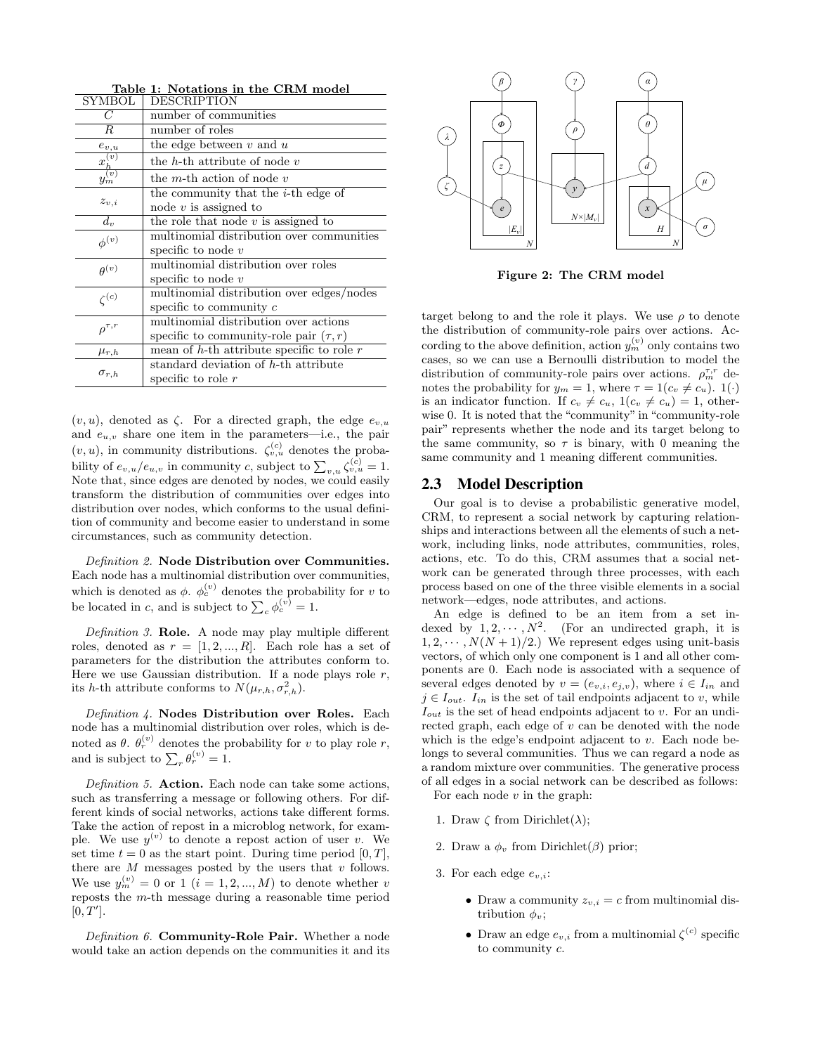| SYMBOL              | DESCRIPTION                                    |  |  |
|---------------------|------------------------------------------------|--|--|
| C                   | number of communities                          |  |  |
| $_{R}$              | number of roles                                |  |  |
| $e_{v,u}$           | the edge between $v$ and $u$                   |  |  |
| $x_h^{(v)}$         | the $h$ -th attribute of node $v$              |  |  |
| $\tilde{y}_m^{(v)}$ | the <i>m</i> -th action of node $v$            |  |  |
|                     | the community that the <i>i</i> -th edge of    |  |  |
| $z_{v,i}$           | node $v$ is assigned to                        |  |  |
| $d_{\eta}$          | the role that node $v$ is assigned to          |  |  |
| $\phi^{(v)}$        | multinomial distribution over communities      |  |  |
|                     | specific to node $v$                           |  |  |
| $\theta^{(v)}$      | multinomial distribution over roles            |  |  |
|                     | specific to node $v$                           |  |  |
| $\zeta^{(c)}$       | multinomial distribution over edges/nodes      |  |  |
|                     | specific to community $c$                      |  |  |
| $\rho^{\tau,r}$     | multinomial distribution over actions          |  |  |
|                     | specific to community-role pair $(\tau, r)$    |  |  |
| $\mu_{r,h}$         | mean of $h$ -th attribute specific to role $r$ |  |  |
|                     | standard deviation of h-th attribute           |  |  |
| $\sigma_{r,h}$      | specific to role $r$                           |  |  |

Table 1: Notations in the CRM model

 $(v, u)$ , denoted as  $\zeta$ . For a directed graph, the edge  $e_{v,u}$ and  $e_{u,v}$  share one item in the parameters—i.e., the pair  $(v, u)$ , in community distributions.  $\zeta_{v, u}^{(c)}$  denotes the probability of  $e_{v,u}/e_{u,v}$  in community c, subject to  $\sum_{v,u}\zeta_{v,u}^{(c)}=1$ . Note that, since edges are denoted by nodes, we could easily transform the distribution of communities over edges into distribution over nodes, which conforms to the usual definition of community and become easier to understand in some circumstances, such as community detection.

Definition 2. Node Distribution over Communities. Each node has a multinomial distribution over communities, which is denoted as  $\phi$ .  $\phi_c^{(v)}$  denotes the probability for v to be located in c, and is subject to  $\sum_c \phi_c^{(v)} = 1$ .

Definition 3. Role. A node may play multiple different roles, denoted as  $r = [1, 2, ..., R]$ . Each role has a set of parameters for the distribution the attributes conform to. Here we use Gaussian distribution. If a node plays role  $r$ , its h-th attribute conforms to  $N(\mu_{r,h}, \sigma_{r,h}^2)$ .

Definition 4. Nodes Distribution over Roles. Each node has a multinomial distribution over roles, which is denoted as  $\theta$ .  $\theta_r^{(v)}$  denotes the probability for v to play role r, and is subject to  $\sum_{r} \theta_r^{(v)} = 1$ .

Definition 5. Action. Each node can take some actions, such as transferring a message or following others. For different kinds of social networks, actions take different forms. Take the action of repost in a microblog network, for example. We use  $y^{(v)}$  to denote a repost action of user v. We set time  $t = 0$  as the start point. During time period [0, T], there are  $M$  messages posted by the users that  $v$  follows. We use  $y_m^{(v)} = 0$  or 1  $(i = 1, 2, ..., M)$  to denote whether v reposts the m-th message during a reasonable time period  $[0, T'].$ 

Definition 6. Community-Role Pair. Whether a node would take an action depends on the communities it and its



Figure 2: The CRM model

target belong to and the role it plays. We use  $\rho$  to denote the distribution of community-role pairs over actions. According to the above definition, action  $y_m^{(v)}$  only contains two cases, so we can use a Bernoulli distribution to model the distribution of community-role pairs over actions.  $\rho_m^{\tau,r}$  denotes the probability for  $y_m = 1$ , where  $\tau = 1(c_v \neq c_u)$ .  $1(\cdot)$ is an indicator function. If  $c_v \neq c_u$ ,  $1(c_v \neq c_u) = 1$ , otherwise 0. It is noted that the "community" in "community-role pair" represents whether the node and its target belong to the same community, so  $\tau$  is binary, with 0 meaning the same community and 1 meaning different communities.

#### 2.3 Model Description

Our goal is to devise a probabilistic generative model, CRM, to represent a social network by capturing relationships and interactions between all the elements of such a network, including links, node attributes, communities, roles, actions, etc. To do this, CRM assumes that a social network can be generated through three processes, with each process based on one of the three visible elements in a social network—edges, node attributes, and actions.

An edge is defined to be an item from a set indexed by  $1, 2, \cdots, N^2$ . (For an undirected graph, it is  $1, 2, \dots, N(N + 1)/2$ .) We represent edges using unit-basis vectors, of which only one component is 1 and all other components are 0. Each node is associated with a sequence of several edges denoted by  $v = (e_{v,i}, e_{i,v})$ , where  $i \in I_{in}$  and  $j \in I_{out}.$  I<sub>in</sub> is the set of tail endpoints adjacent to v, while  $I_{out}$  is the set of head endpoints adjacent to v. For an undirected graph, each edge of v can be denoted with the node which is the edge's endpoint adjacent to  $v$ . Each node belongs to several communities. Thus we can regard a node as a random mixture over communities. The generative process of all edges in a social network can be described as follows: For each node  $v$  in the graph:

- 1. Draw  $\zeta$  from Dirichlet( $\lambda$ );
- 2. Draw a  $\phi_v$  from Dirichlet( $\beta$ ) prior;
- 3. For each edge  $e_{v,i}$ :
	- Draw a community  $z_{v,i} = c$  from multinomial distribution  $\phi_v$ ;
	- Draw an edge  $e_{v,i}$  from a multinomial  $\zeta^{(c)}$  specific to community c.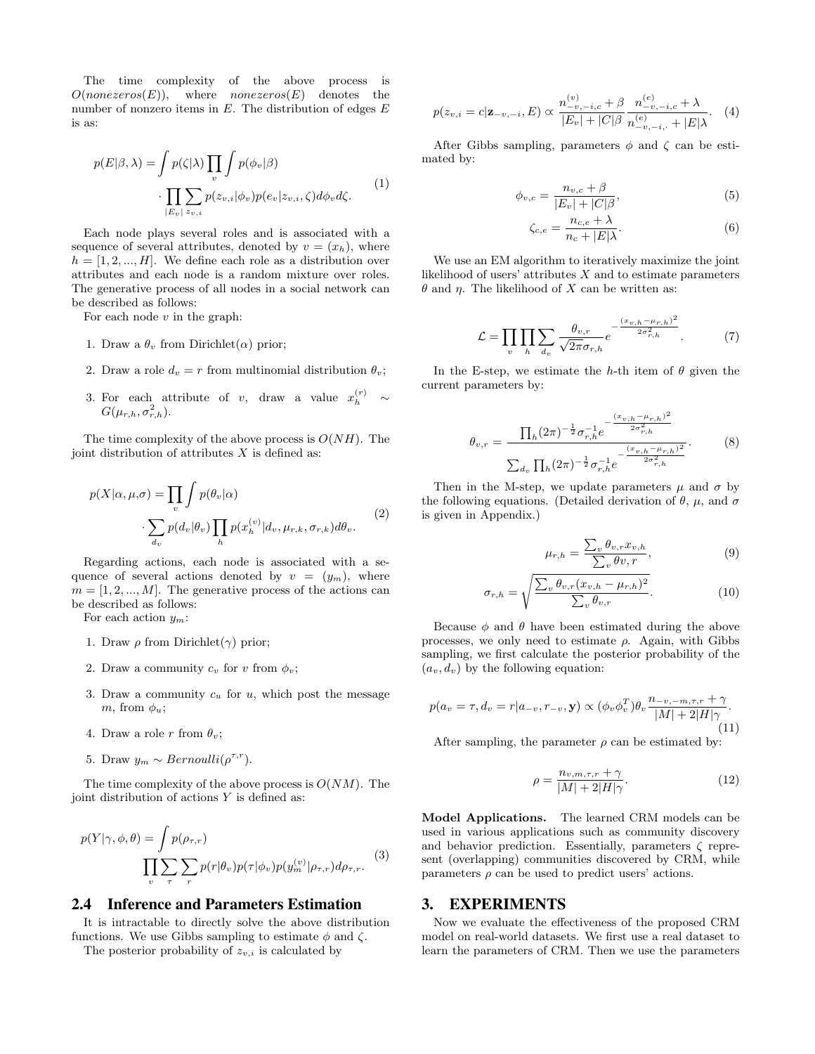The time complexity of the above process is  $O(nonezeros(E))$ , where *nonezeros* $(E)$  denotes the number of nonzero items in  $E$ . The distribution of edges  $E$ is as:

$$
p(E|\beta,\lambda) = \int p(\zeta|\lambda) \prod_{v} \int p(\phi_v|\beta) \cdot \prod_{|E_v| \le v, i} p(z_{v,i}|\phi_v) p(e_v|z_{v,i}, \zeta) d\phi_v d\zeta.
$$
 (1)

Each node plays several roles and is associated with a sequence of several attributes, denoted by  $v = (x_h)$ , where  $h = [1, 2, ..., H]$ . We define each role as a distribution over attributes and each node is a random mixture over roles. The generative process of all nodes in a social network can be described as follows:

For each node  $v$  in the graph:

- 1. Draw a  $\theta_v$  from Dirichlet( $\alpha$ ) prior;
- 2. Draw a role  $d_v = r$  from multinomial distribution  $\theta_v$ ;
- 3. For each attribute of v, draw a value  $x_h^{(r)} \sim$  $G(\mu_{r,h}, \sigma^2_{r,h}).$

The time complexity of the above process is  $O(NH)$ . The joint distribution of attributes  $X$  is defined as:

$$
p(X|\alpha, \mu, \sigma) = \prod_{v} \int p(\theta_v|\alpha)
$$

$$
\cdot \sum_{d_v} p(d_v|\theta_v) \prod_h p(x_h^{(v)}|d_v, \mu_{r,k}, \sigma_{r,k}) d\theta_v.
$$
 (2)

Regarding actions, each node is associated with a sequence of several actions denoted by  $v = (y_m)$ , where  $m = \{1, 2, ..., M\}$ . The generative process of the actions can be described as follows:

For each action  $y_m$ :

- 1. Draw  $\rho$  from Dirichlet( $\gamma$ ) prior;
- 2. Draw a community  $c_v$  for v from  $\phi_v$ ;
- 3. Draw a community  $c_u$  for  $u$ , which post the message m, from  $\phi_u$ ;
- 4. Draw a role r from  $\theta_v$ ;
- 5. Draw  $y_m \sim Bernoulli(\rho^{\tau,r})$ .

The time complexity of the above process is  $O(NM)$ . The joint distribution of actions  $Y$  is defined as:

$$
p(Y|\gamma, \phi, \theta) = \int p(\rho_{\tau, r})
$$
  

$$
\prod_{v} \sum_{\tau} \sum_{r} p(r|\theta_v) p(\tau|\phi_v) p(y_m^{(v)}|\rho_{\tau, r}) d\rho_{\tau, r}.
$$
 (3)

#### 2.4 Inference and Parameters Estimation

It is intractable to directly solve the above distribution functions. We use Gibbs sampling to estimate  $\phi$  and  $\zeta$ .

The posterior probability of  $z_{v,i}$  is calculated by

$$
p(z_{v,i} = c | \mathbf{z}_{-v,-i}, E) \propto \frac{n_{-v,-i,c}^{(v)} + \beta}{|E_v| + |C|\beta} \frac{n_{-v,-i,c}^{(e)} + \lambda}{n_{-v,-i,+}^{(e)} + |E|\lambda}.
$$
 (4)

After Gibbs sampling, parameters  $\phi$  and  $\zeta$  can be estimated by:

$$
\phi_{v,c} = \frac{n_{v,c} + \beta}{|E_v| + |C|\beta},\tag{5}
$$

$$
\zeta_{c,e} = \frac{n_{c,e} + \lambda}{n_c + |E|\lambda}.\tag{6}
$$

We use an EM algorithm to iteratively maximize the joint likelihood of users' attributes  $X$  and to estimate parameters  $\theta$  and  $\eta$ . The likelihood of X can be written as:

$$
\mathcal{L} = \prod_{v} \prod_{h} \sum_{d_v} \frac{\theta_{v,r}}{\sqrt{2\pi} \sigma_{r,h}} e^{-\frac{(x_{v,h} - \mu_{r,h})^2}{2\sigma_{r,h}^2}}.
$$
(7)

In the E-step, we estimate the h-th item of  $\theta$  given the current parameters by:

$$
\theta_{v,r} = \frac{\prod_{h}(2\pi)^{-\frac{1}{2}}\sigma_{r,h}^{-1}e^{-\frac{(x_{v,h}-\mu_{r,h})^2}{2\sigma_{r,h}^2}}}{\sum_{d_v}\prod_{h}(2\pi)^{-\frac{1}{2}}\sigma_{r,h}^{-1}e^{-\frac{(x_{v,h}-\mu_{r,h})^2}{2\sigma_{r,h}^2}}}. \tag{8}
$$

Then in the M-step, we update parameters  $\mu$  and  $\sigma$  by the following equations. (Detailed derivation of  $\theta$ ,  $\mu$ , and  $\sigma$ is given in Appendix.)

$$
\mu_{r,h} = \frac{\sum_{v} \theta_{v,r} x_{v,h}}{\sum_{v} \theta_{v,r}},\tag{9}
$$

$$
\sigma_{r,h} = \sqrt{\frac{\sum_{v} \theta_{v,r} (x_{v,h} - \mu_{r,h})^2}{\sum_{v} \theta_{v,r}}}.
$$
\n(10)

Because  $\phi$  and  $\theta$  have been estimated during the above processes, we only need to estimate  $\rho$ . Again, with Gibbs sampling, we first calculate the posterior probability of the  $(a_v, d_v)$  by the following equation:

$$
p(a_v = \tau, d_v = r | a_{-v}, r_{-v}, \mathbf{y}) \propto (\phi_v \phi_v^T) \theta_v \frac{n_{-v,-m,\tau,r} + \gamma}{|M| + 2|H|\gamma}.
$$
\n(11)

After sampling, the parameter  $\rho$  can be estimated by:

$$
\rho = \frac{n_{v,m,\tau,r} + \gamma}{|M| + 2|H|\gamma}.
$$
\n(12)

Model Applications. The learned CRM models can be used in various applications such as community discovery and behavior prediction. Essentially, parameters  $\zeta$  represent (overlapping) communities discovered by CRM, while parameters  $\rho$  can be used to predict users' actions.

#### 3. EXPERIMENTS

Now we evaluate the effectiveness of the proposed CRM model on real-world datasets. We first use a real dataset to learn the parameters of CRM. Then we use the parameters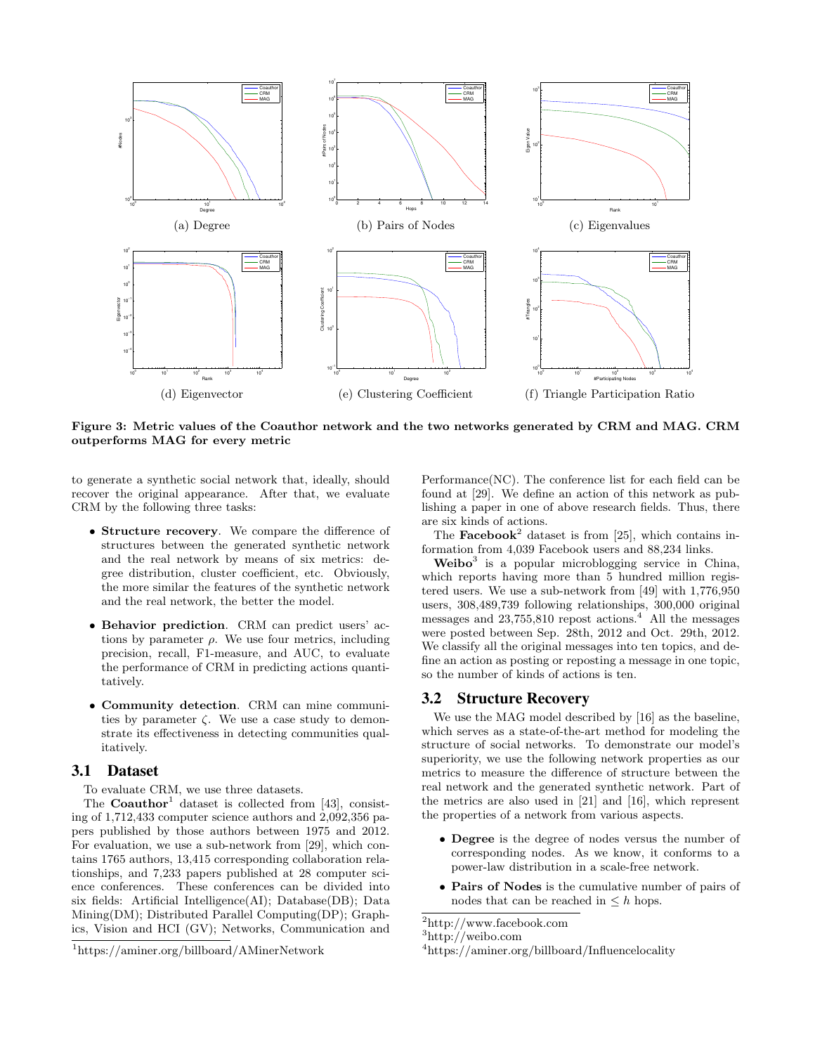

Figure 3: Metric values of the Coauthor network and the two networks generated by CRM and MAG. CRM outperforms MAG for every metric

to generate a synthetic social network that, ideally, should recover the original appearance. After that, we evaluate CRM by the following three tasks:

- Structure recovery. We compare the difference of structures between the generated synthetic network and the real network by means of six metrics: degree distribution, cluster coefficient, etc. Obviously, the more similar the features of the synthetic network and the real network, the better the model.
- Behavior prediction. CRM can predict users' actions by parameter  $\rho$ . We use four metrics, including precision, recall, F1-measure, and AUC, to evaluate the performance of CRM in predicting actions quantitatively.
- Community detection. CRM can mine communities by parameter  $\zeta$ . We use a case study to demonstrate its effectiveness in detecting communities qualitatively.

#### 3.1 Dataset

To evaluate CRM, we use three datasets.

The **Coauthor**<sup>1</sup> dataset is collected from [43], consisting of 1,712,433 computer science authors and 2,092,356 papers published by those authors between 1975 and 2012. For evaluation, we use a sub-network from [29], which contains 1765 authors, 13,415 corresponding collaboration relationships, and 7,233 papers published at 28 computer science conferences. These conferences can be divided into six fields: Artificial Intelligence(AI); Database(DB); Data Mining(DM); Distributed Parallel Computing(DP); Graphics, Vision and HCI (GV); Networks, Communication and

Performance(NC). The conference list for each field can be found at [29]. We define an action of this network as publishing a paper in one of above research fields. Thus, there are six kinds of actions.

The **Facebook**<sup>2</sup> dataset is from [25], which contains information from 4,039 Facebook users and 88,234 links.

 $Weibo<sup>3</sup>$  is a popular microblogging service in China, which reports having more than 5 hundred million registered users. We use a sub-network from [49] with 1,776,950 users, 308,489,739 following relationships, 300,000 original messages and  $23,755,810$  repost actions.<sup>4</sup> All the messages were posted between Sep. 28th, 2012 and Oct. 29th, 2012. We classify all the original messages into ten topics, and define an action as posting or reposting a message in one topic, so the number of kinds of actions is ten.

## 3.2 Structure Recovery

We use the MAG model described by [16] as the baseline, which serves as a state-of-the-art method for modeling the structure of social networks. To demonstrate our model's superiority, we use the following network properties as our metrics to measure the difference of structure between the real network and the generated synthetic network. Part of the metrics are also used in [21] and [16], which represent the properties of a network from various aspects.

- Degree is the degree of nodes versus the number of corresponding nodes. As we know, it conforms to a power-law distribution in a scale-free network.
- Pairs of Nodes is the cumulative number of pairs of nodes that can be reached in  $\leq h$  hops.

<sup>1</sup>https://aminer.org/billboard/AMinerNetwork

 $\rm ^2$ http://www.facebook.com

<sup>3</sup>http://weibo.com

<sup>4</sup>https://aminer.org/billboard/Influencelocality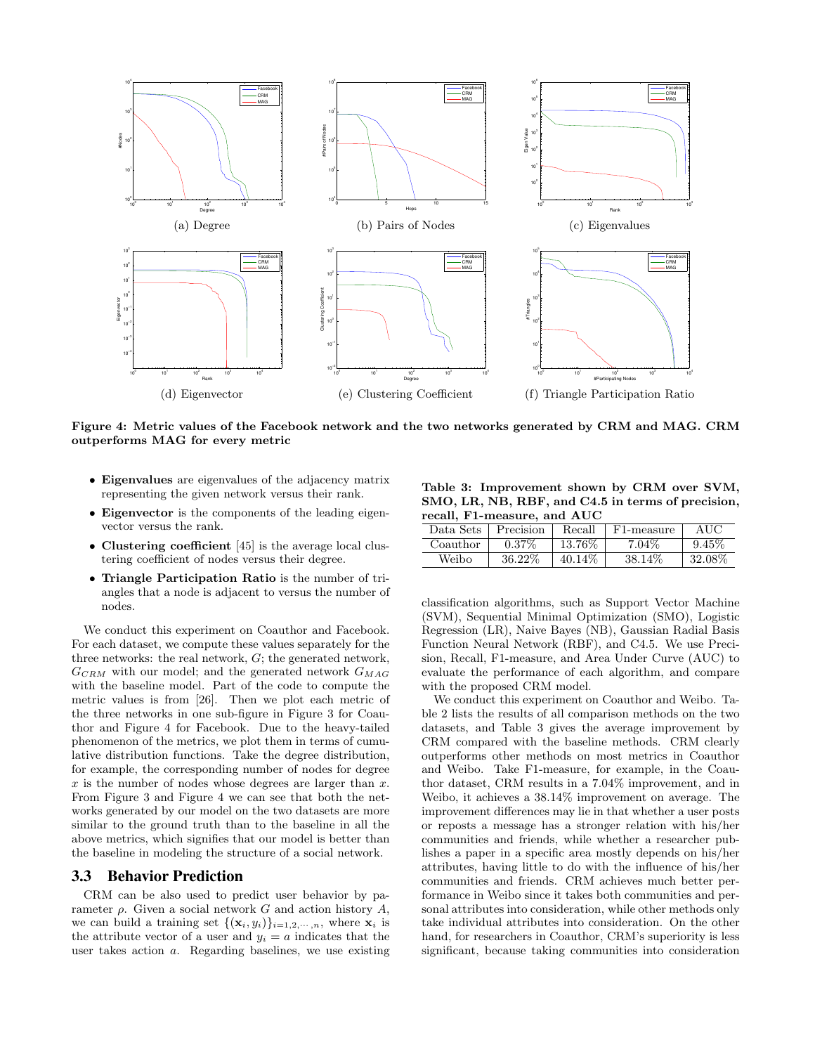

Figure 4: Metric values of the Facebook network and the two networks generated by CRM and MAG. CRM outperforms MAG for every metric

- Eigenvalues are eigenvalues of the adjacency matrix representing the given network versus their rank.
- Eigenvector is the components of the leading eigenvector versus the rank.
- Clustering coefficient [45] is the average local clustering coefficient of nodes versus their degree.
- Triangle Participation Ratio is the number of triangles that a node is adjacent to versus the number of nodes.

We conduct this experiment on Coauthor and Facebook. For each dataset, we compute these values separately for the three networks: the real network, G; the generated network,  $G_{CRM}$  with our model; and the generated network  $G_{MAG}$ with the baseline model. Part of the code to compute the metric values is from [26]. Then we plot each metric of the three networks in one sub-figure in Figure 3 for Coauthor and Figure 4 for Facebook. Due to the heavy-tailed phenomenon of the metrics, we plot them in terms of cumulative distribution functions. Take the degree distribution, for example, the corresponding number of nodes for degree  $x$  is the number of nodes whose degrees are larger than  $x$ . From Figure 3 and Figure 4 we can see that both the networks generated by our model on the two datasets are more similar to the ground truth than to the baseline in all the above metrics, which signifies that our model is better than the baseline in modeling the structure of a social network.

#### 3.3 Behavior Prediction

CRM can be also used to predict user behavior by parameter  $\rho$ . Given a social network G and action history A, we can build a training set  $\{(\mathbf{x}_i, y_i)\}_{i=1,2,\dots,n}$ , where  $\mathbf{x}_i$  is the attribute vector of a user and  $y_i = a$  indicates that the user takes action a. Regarding baselines, we use existing

Table 3: Improvement shown by CRM over SVM, SMO, LR, NB, RBF, and C4.5 in terms of precision, recall, F1-measure, and AUC

| $1$ cean, $1$ $1$ measure, and $1$ $1$<br>Data Sets | Precision | Recall  | F1-measure | AUC       |
|-----------------------------------------------------|-----------|---------|------------|-----------|
| Coauthor                                            | $0.37\%$  | 13.76\% | $7.04\%$   | 9.45%     |
| Weibo                                               | 36.22%    | 40.14\% | 38.14%     | $32.08\%$ |

classification algorithms, such as Support Vector Machine (SVM), Sequential Minimal Optimization (SMO), Logistic Regression (LR), Naive Bayes (NB), Gaussian Radial Basis Function Neural Network (RBF), and C4.5. We use Precision, Recall, F1-measure, and Area Under Curve (AUC) to evaluate the performance of each algorithm, and compare with the proposed CRM model.

We conduct this experiment on Coauthor and Weibo. Table 2 lists the results of all comparison methods on the two datasets, and Table 3 gives the average improvement by CRM compared with the baseline methods. CRM clearly outperforms other methods on most metrics in Coauthor and Weibo. Take F1-measure, for example, in the Coauthor dataset, CRM results in a 7.04% improvement, and in Weibo, it achieves a 38.14% improvement on average. The improvement differences may lie in that whether a user posts or reposts a message has a stronger relation with his/her communities and friends, while whether a researcher publishes a paper in a specific area mostly depends on his/her attributes, having little to do with the influence of his/her communities and friends. CRM achieves much better performance in Weibo since it takes both communities and personal attributes into consideration, while other methods only take individual attributes into consideration. On the other hand, for researchers in Coauthor, CRM's superiority is less significant, because taking communities into consideration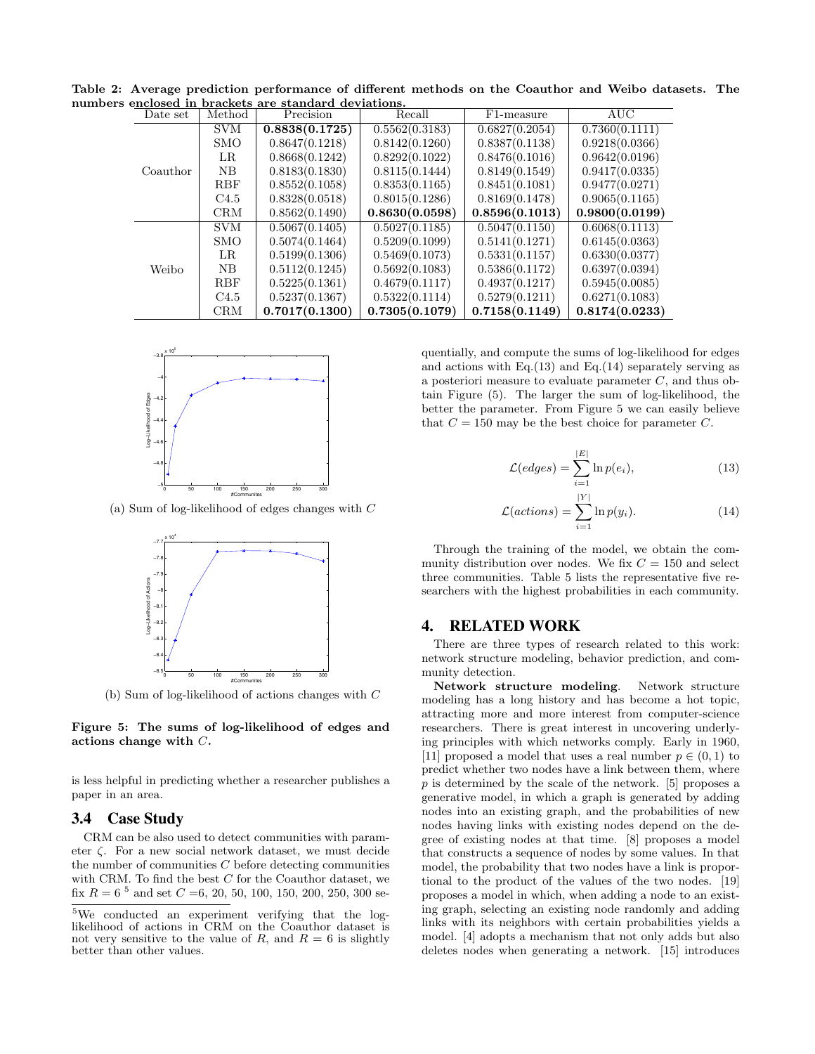|  | enclosed in brackets are standard deviations. |                  |                |                |                         |                |
|--|-----------------------------------------------|------------------|----------------|----------------|-------------------------|----------------|
|  | Date set                                      | Method           | Precision      | Recall         | F <sub>1</sub> -measure | AUC            |
|  |                                               | <b>SVM</b>       | 0.8838(0.1725) | 0.5562(0.3183) | 0.6827(0.2054)          | 0.7360(0.1111) |
|  |                                               | <b>SMO</b>       | 0.8647(0.1218) | 0.8142(0.1260) | 0.8387(0.1138)          | 0.9218(0.0366) |
|  |                                               | LR               | 0.8668(0.1242) | 0.8292(0.1022) | 0.8476(0.1016)          | 0.9642(0.0196) |
|  | Coauthor                                      | NB               | 0.8183(0.1830) | 0.8115(0.1444) | 0.8149(0.1549)          | 0.9417(0.0335) |
|  |                                               | <b>RBF</b>       | 0.8552(0.1058) | 0.8353(0.1165) | 0.8451(0.1081)          | 0.9477(0.0271) |
|  |                                               | C <sub>4.5</sub> | 0.8328(0.0518) | 0.8015(0.1286) | 0.8169(0.1478)          | 0.9065(0.1165) |
|  |                                               | CRM              | 0.8562(0.1490) | 0.8630(0.0598) | 0.8596(0.1013)          | 0.9800(0.0199) |
|  |                                               | <b>SVM</b>       | 0.5067(0.1405) | 0.5027(0.1185) | 0.5047(0.1150)          | 0.6068(0.1113) |
|  | Weibo                                         | <b>SMO</b>       | 0.5074(0.1464) | 0.5209(0.1099) | 0.5141(0.1271)          | 0.6145(0.0363) |
|  |                                               | LR.              | 0.5199(0.1306) | 0.5469(0.1073) | 0.5331(0.1157)          | 0.6330(0.0377) |
|  |                                               | NB               | 0.5112(0.1245) | 0.5692(0.1083) | 0.5386(0.1172)          | 0.6397(0.0394) |
|  |                                               | <b>RBF</b>       | 0.5225(0.1361) | 0.4679(0.1117) | 0.4937(0.1217)          | 0.5945(0.0085) |
|  |                                               | C <sub>4.5</sub> | 0.5237(0.1367) | 0.5322(0.1114) | 0.5279(0.1211)          | 0.6271(0.1083) |
|  |                                               | <b>CRM</b>       | 0.7017(0.1300) | 0.7305(0.1079) | 0.7158(0.1149)          | 0.8174(0.0233) |

Table 2: Average prediction performance of different methods on the Coauthor and Weibo datasets. The numbers enclosed in brackets are standard deviations.



(a) Sum of log-likelihood of edges changes with C



(b) Sum of log-likelihood of actions changes with C

Figure 5: The sums of log-likelihood of edges and actions change with C.

is less helpful in predicting whether a researcher publishes a paper in an area.

#### 3.4 Case Study

CRM can be also used to detect communities with parameter ζ. For a new social network dataset, we must decide the number of communities  $C$  before detecting communities with CRM. To find the best  $C$  for the Coauthor dataset, we fix  $R = 6^{5}$  and set  $C = 6, 20, 50, 100, 150, 200, 250, 300$  sequentially, and compute the sums of log-likelihood for edges and actions with Eq. $(13)$  and Eq. $(14)$  separately serving as a posteriori measure to evaluate parameter C, and thus obtain Figure (5). The larger the sum of log-likelihood, the better the parameter. From Figure 5 we can easily believe that  $C = 150$  may be the best choice for parameter C.

$$
\mathcal{L}(edges) = \sum_{i=1}^{|E|} \ln p(e_i),\tag{13}
$$

$$
\mathcal{L}(actions) = \sum_{i=1}^{|Y|} \ln p(y_i). \tag{14}
$$

Through the training of the model, we obtain the community distribution over nodes. We fix  $C = 150$  and select three communities. Table 5 lists the representative five researchers with the highest probabilities in each community.

#### 4. RELATED WORK

There are three types of research related to this work: network structure modeling, behavior prediction, and community detection.

Network structure modeling. Network structure modeling has a long history and has become a hot topic, attracting more and more interest from computer-science researchers. There is great interest in uncovering underlying principles with which networks comply. Early in 1960, [11] proposed a model that uses a real number  $p \in (0,1)$  to predict whether two nodes have a link between them, where p is determined by the scale of the network. [5] proposes a generative model, in which a graph is generated by adding nodes into an existing graph, and the probabilities of new nodes having links with existing nodes depend on the degree of existing nodes at that time. [8] proposes a model that constructs a sequence of nodes by some values. In that model, the probability that two nodes have a link is proportional to the product of the values of the two nodes. [19] proposes a model in which, when adding a node to an existing graph, selecting an existing node randomly and adding links with its neighbors with certain probabilities yields a model. [4] adopts a mechanism that not only adds but also deletes nodes when generating a network. [15] introduces

<sup>5</sup>We conducted an experiment verifying that the loglikelihood of actions in CRM on the Coauthor dataset is not very sensitive to the value of R, and  $R = 6$  is slightly better than other values.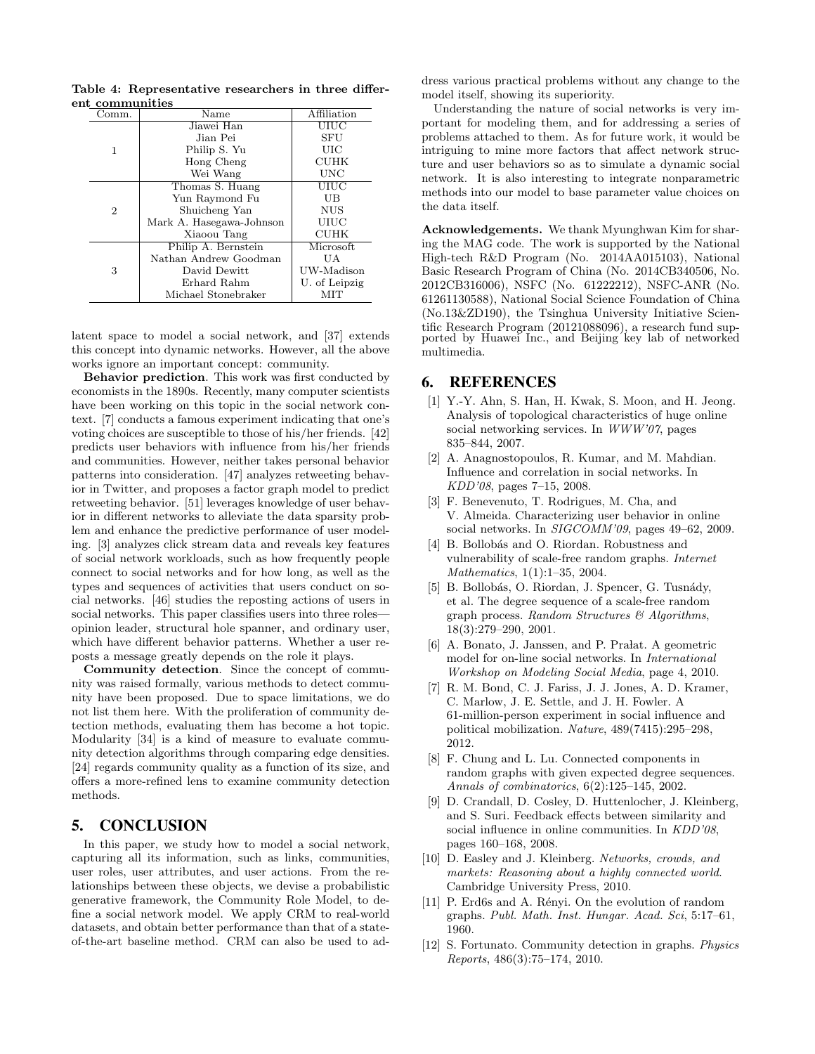Table 4: Representative researchers in three different communities

| Comm.          | $\overline{\text{Name}}$ | Affiliation   |
|----------------|--------------------------|---------------|
|                | Jiawei Han               | UIUC          |
|                | Jian Pei                 | SFU           |
| 1              | Philip S. Yu             | UIC           |
|                | Hong Cheng               | <b>CUHK</b>   |
|                | Wei Wang                 | UNC           |
|                | Thomas S. Huang          | UIUC          |
|                | Yun Raymond Fu           | UB            |
| $\overline{2}$ | Shuicheng Yan            | <b>NUS</b>    |
|                | Mark A. Hasegawa-Johnson | UIUC          |
|                | Xiaoou Tang              | <b>CUHK</b>   |
|                | Philip A. Bernstein      | Microsoft.    |
|                | Nathan Andrew Goodman    | UA            |
| 3              | David Dewitt             | UW-Madison    |
|                | Erhard Rahm              | U. of Leipzig |
|                | Michael Stonebraker      | MIT           |

latent space to model a social network, and [37] extends this concept into dynamic networks. However, all the above works ignore an important concept: community.

Behavior prediction. This work was first conducted by economists in the 1890s. Recently, many computer scientists have been working on this topic in the social network context. [7] conducts a famous experiment indicating that one's voting choices are susceptible to those of his/her friends. [42] predicts user behaviors with influence from his/her friends and communities. However, neither takes personal behavior patterns into consideration. [47] analyzes retweeting behavior in Twitter, and proposes a factor graph model to predict retweeting behavior. [51] leverages knowledge of user behavior in different networks to alleviate the data sparsity problem and enhance the predictive performance of user modeling. [3] analyzes click stream data and reveals key features of social network workloads, such as how frequently people connect to social networks and for how long, as well as the types and sequences of activities that users conduct on social networks. [46] studies the reposting actions of users in social networks. This paper classifies users into three roles opinion leader, structural hole spanner, and ordinary user, which have different behavior patterns. Whether a user reposts a message greatly depends on the role it plays.

Community detection. Since the concept of community was raised formally, various methods to detect community have been proposed. Due to space limitations, we do not list them here. With the proliferation of community detection methods, evaluating them has become a hot topic. Modularity [34] is a kind of measure to evaluate community detection algorithms through comparing edge densities. [24] regards community quality as a function of its size, and offers a more-refined lens to examine community detection methods.

### 5. CONCLUSION

In this paper, we study how to model a social network, capturing all its information, such as links, communities, user roles, user attributes, and user actions. From the relationships between these objects, we devise a probabilistic generative framework, the Community Role Model, to define a social network model. We apply CRM to real-world datasets, and obtain better performance than that of a stateof-the-art baseline method. CRM can also be used to address various practical problems without any change to the model itself, showing its superiority.

Understanding the nature of social networks is very important for modeling them, and for addressing a series of problems attached to them. As for future work, it would be intriguing to mine more factors that affect network structure and user behaviors so as to simulate a dynamic social network. It is also interesting to integrate nonparametric methods into our model to base parameter value choices on the data itself.

Acknowledgements. We thank Myunghwan Kim for sharing the MAG code. The work is supported by the National High-tech R&D Program (No. 2014AA015103), National Basic Research Program of China (No. 2014CB340506, No. 2012CB316006), NSFC (No. 61222212), NSFC-ANR (No. 61261130588), National Social Science Foundation of China (No.13&ZD190), the Tsinghua University Initiative Scientific Research Program (20121088096), a research fund supported by Huawei Inc., and Beijing key lab of networked multimedia.

## 6. REFERENCES

- [1] Y.-Y. Ahn, S. Han, H. Kwak, S. Moon, and H. Jeong. Analysis of topological characteristics of huge online social networking services. In WWW'07, pages 835–844, 2007.
- [2] A. Anagnostopoulos, R. Kumar, and M. Mahdian. Influence and correlation in social networks. In KDD'08, pages 7–15, 2008.
- [3] F. Benevenuto, T. Rodrigues, M. Cha, and V. Almeida. Characterizing user behavior in online social networks. In SIGCOMM'09, pages 49–62, 2009.
- [4] B. Bollobás and O. Riordan. Robustness and vulnerability of scale-free random graphs. Internet Mathematics, 1(1):1–35, 2004.
- [5] B. Bollobás, O. Riordan, J. Spencer, G. Tusnády, et al. The degree sequence of a scale-free random graph process. Random Structures & Algorithms, 18(3):279–290, 2001.
- [6] A. Bonato, J. Janssen, and P. Pralat. A geometric model for on-line social networks. In International Workshop on Modeling Social Media, page 4, 2010.
- [7] R. M. Bond, C. J. Fariss, J. J. Jones, A. D. Kramer, C. Marlow, J. E. Settle, and J. H. Fowler. A 61-million-person experiment in social influence and political mobilization. Nature, 489(7415):295–298, 2012.
- [8] F. Chung and L. Lu. Connected components in random graphs with given expected degree sequences. Annals of combinatorics, 6(2):125–145, 2002.
- [9] D. Crandall, D. Cosley, D. Huttenlocher, J. Kleinberg, and S. Suri. Feedback effects between similarity and social influence in online communities. In  $KDD'08$ , pages 160–168, 2008.
- [10] D. Easley and J. Kleinberg. Networks, crowds, and markets: Reasoning about a highly connected world. Cambridge University Press, 2010.
- [11] P. Erd6s and A. Rényi. On the evolution of random graphs. Publ. Math. Inst. Hungar. Acad. Sci, 5:17–61, 1960.
- [12] S. Fortunato. Community detection in graphs. Physics Reports, 486(3):75–174, 2010.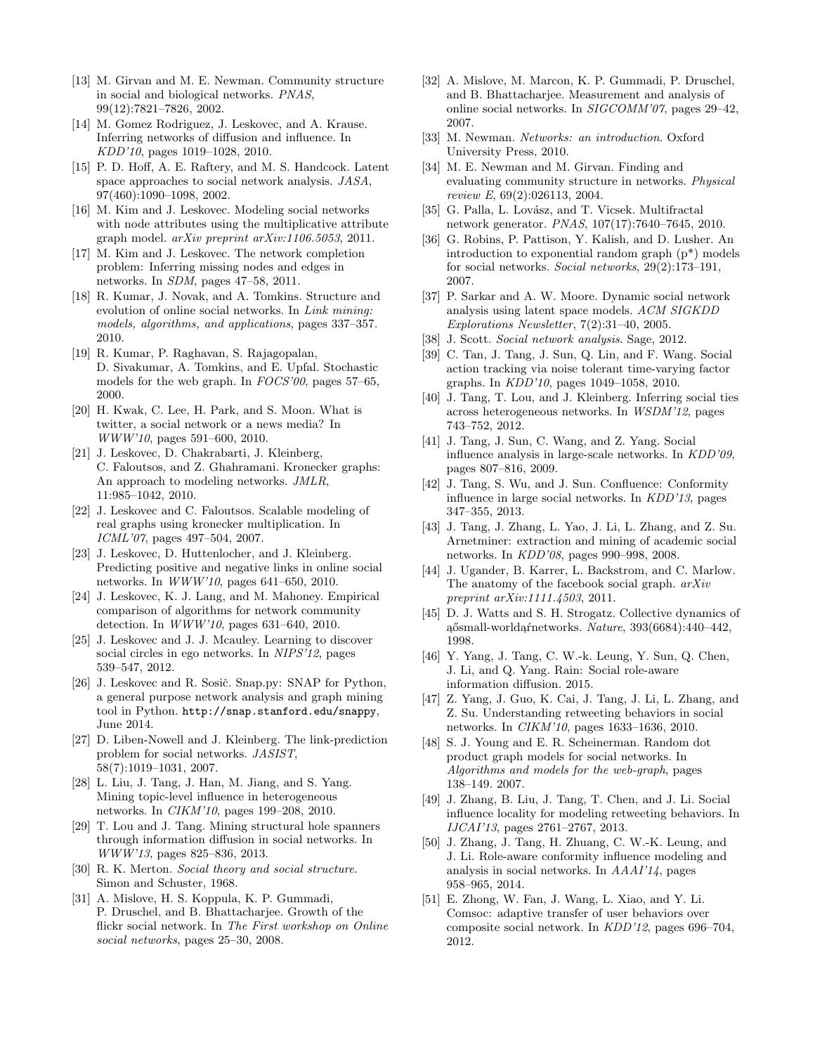- [13] M. Girvan and M. E. Newman. Community structure in social and biological networks. PNAS, 99(12):7821–7826, 2002.
- [14] M. Gomez Rodriguez, J. Leskovec, and A. Krause. Inferring networks of diffusion and influence. In KDD'10, pages 1019–1028, 2010.
- [15] P. D. Hoff, A. E. Raftery, and M. S. Handcock. Latent space approaches to social network analysis. JASA, 97(460):1090–1098, 2002.
- [16] M. Kim and J. Leskovec. Modeling social networks with node attributes using the multiplicative attribute graph model. arXiv preprint arXiv:1106.5053, 2011.
- [17] M. Kim and J. Leskovec. The network completion problem: Inferring missing nodes and edges in networks. In SDM, pages 47–58, 2011.
- [18] R. Kumar, J. Novak, and A. Tomkins. Structure and evolution of online social networks. In Link mining: models, algorithms, and applications, pages 337–357. 2010.
- [19] R. Kumar, P. Raghavan, S. Rajagopalan, D. Sivakumar, A. Tomkins, and E. Upfal. Stochastic models for the web graph. In  $FOCS'00$ , pages 57–65, 2000.
- [20] H. Kwak, C. Lee, H. Park, and S. Moon. What is twitter, a social network or a news media? In WWW'10, pages 591–600, 2010.
- [21] J. Leskovec, D. Chakrabarti, J. Kleinberg, C. Faloutsos, and Z. Ghahramani. Kronecker graphs: An approach to modeling networks. JMLR, 11:985–1042, 2010.
- [22] J. Leskovec and C. Faloutsos. Scalable modeling of real graphs using kronecker multiplication. In ICML'07, pages 497–504, 2007.
- [23] J. Leskovec, D. Huttenlocher, and J. Kleinberg. Predicting positive and negative links in online social networks. In WWW'10, pages 641–650, 2010.
- [24] J. Leskovec, K. J. Lang, and M. Mahoney. Empirical comparison of algorithms for network community detection. In WWW'10, pages 631–640, 2010.
- [25] J. Leskovec and J. J. Mcauley. Learning to discover social circles in ego networks. In NIPS'12, pages 539–547, 2012.
- [26] J. Leskovec and R. Sosič. Snap.py: SNAP for Python, a general purpose network analysis and graph mining tool in Python. http://snap.stanford.edu/snappy, June 2014.
- [27] D. Liben-Nowell and J. Kleinberg. The link-prediction problem for social networks. JASIST, 58(7):1019–1031, 2007.
- [28] L. Liu, J. Tang, J. Han, M. Jiang, and S. Yang. Mining topic-level influence in heterogeneous networks. In CIKM'10, pages 199–208, 2010.
- [29] T. Lou and J. Tang. Mining structural hole spanners through information diffusion in social networks. In WWW'13, pages 825–836, 2013.
- [30] R. K. Merton. Social theory and social structure. Simon and Schuster, 1968.
- [31] A. Mislove, H. S. Koppula, K. P. Gummadi, P. Druschel, and B. Bhattacharjee. Growth of the flickr social network. In The First workshop on Online social networks, pages 25–30, 2008.
- [32] A. Mislove, M. Marcon, K. P. Gummadi, P. Druschel, and B. Bhattacharjee. Measurement and analysis of online social networks. In SIGCOMM'07, pages 29–42, 2007.
- [33] M. Newman. Networks: an introduction. Oxford University Press, 2010.
- [34] M. E. Newman and M. Girvan. Finding and evaluating community structure in networks. Physical review E, 69(2):026113, 2004.
- [35] G. Palla, L. Lovász, and T. Vicsek. Multifractal network generator. PNAS, 107(17):7640–7645, 2010.
- [36] G. Robins, P. Pattison, Y. Kalish, and D. Lusher. An introduction to exponential random graph (p\*) models for social networks. Social networks, 29(2):173–191, 2007.
- [37] P. Sarkar and A. W. Moore. Dynamic social network analysis using latent space models. ACM SIGKDD Explorations Newsletter, 7(2):31–40, 2005.
- [38] J. Scott. Social network analysis. Sage, 2012.
- [39] C. Tan, J. Tang, J. Sun, Q. Lin, and F. Wang. Social action tracking via noise tolerant time-varying factor graphs. In KDD'10, pages 1049–1058, 2010.
- [40] J. Tang, T. Lou, and J. Kleinberg. Inferring social ties across heterogeneous networks. In WSDM'12, pages 743–752, 2012.
- [41] J. Tang, J. Sun, C. Wang, and Z. Yang. Social influence analysis in large-scale networks. In KDD'09, pages 807–816, 2009.
- [42] J. Tang, S. Wu, and J. Sun. Confluence: Conformity influence in large social networks. In KDD'13, pages 347–355, 2013.
- [43] J. Tang, J. Zhang, L. Yao, J. Li, L. Zhang, and Z. Su. Arnetminer: extraction and mining of academic social networks. In KDD'08, pages 990–998, 2008.
- [44] J. Ugander, B. Karrer, L. Backstrom, and C. Marlow. The anatomy of the facebook social graph.  $arXiv$ preprint arXiv:1111.4503, 2011.
- [45] D. J. Watts and S. H. Strogatz. Collective dynamics of aősmall-worldaŕnetworks. Nature, 393(6684):440–442, 1998.
- [46] Y. Yang, J. Tang, C. W.-k. Leung, Y. Sun, Q. Chen, J. Li, and Q. Yang. Rain: Social role-aware information diffusion. 2015.
- [47] Z. Yang, J. Guo, K. Cai, J. Tang, J. Li, L. Zhang, and Z. Su. Understanding retweeting behaviors in social networks. In CIKM'10, pages 1633–1636, 2010.
- [48] S. J. Young and E. R. Scheinerman. Random dot product graph models for social networks. In Algorithms and models for the web-graph, pages 138–149. 2007.
- [49] J. Zhang, B. Liu, J. Tang, T. Chen, and J. Li. Social influence locality for modeling retweeting behaviors. In IJCAI'13, pages 2761–2767, 2013.
- [50] J. Zhang, J. Tang, H. Zhuang, C. W.-K. Leung, and J. Li. Role-aware conformity influence modeling and analysis in social networks. In AAAI'14, pages 958–965, 2014.
- [51] E. Zhong, W. Fan, J. Wang, L. Xiao, and Y. Li. Comsoc: adaptive transfer of user behaviors over composite social network. In KDD'12, pages 696–704, 2012.